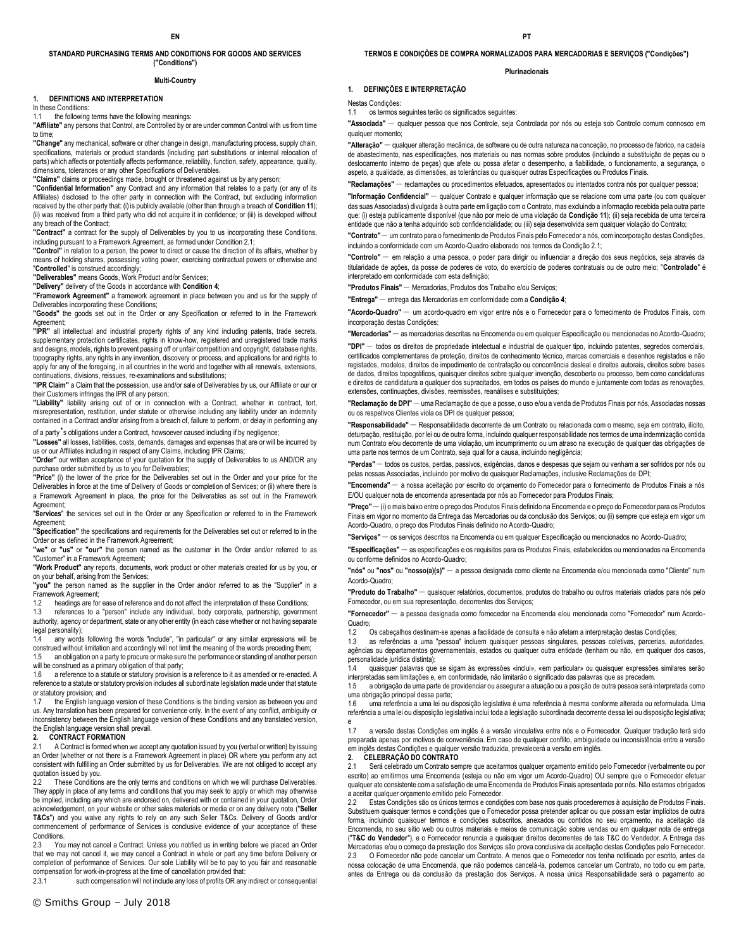#### **STANDARD PURCHASING TERMS AND CONDITIONS FOR GOODS AND SERVICES ("Conditions")**

#### **Multi-Country**

#### **1. DEFINITIONS AND INTERPRETATION**

In these Conditions:

the following terms have the following meanings:

**"Affiliate"** any persons that Control, are Controlled by or are under common Control with us from time to time;

**"Change"** any mechanical, software or other change in design, manufacturing process, supply chain, specifications, materials or product standards (including part substitutions or internal relocation of parts) which affects or potentially affects performance, reliability, function, safety, appearance, quality, dimensions, tolerances or any other Specifications of Deliverables.

**"Claims"** claims or proceedings made, brought or threatened against us by any person;

**"Confidential Information"** any Contract and any information that relates to a party (or any of its Affiliates) disclosed to the other party in connection with the Contract, but excluding information received by the other party that: (i) is publicly available (other than through a breach of **Condition 11**); (ii) was received from a third party who did not acquire it in confidence; or (iii) is developed without any breach of the Contract;

**"Contract"** a contract for the supply of Deliverables by you to us incorporating these Conditions, including pursuant to a Framework Agreement, as formed under Condition 2.1;

**"Control"** in relation to a person, the power to direct or cause the direction of its affairs, whether by means of holding shares, possessing voting power, exercising contractual powers or otherwise and "**Controlled**" is construed accordingly;

**"Deliverables"** means Goods, Work Product and/or Services;

**"Delivery"** delivery of the Goods in accordance with **Condition 4**;

**"Framework Agreement"** a framework agreement in place between you and us for the supply of Deliverables incorporating these Conditions;

**"Goods"** the goods set out in the Order or any Specification or referred to in the Framework Agreement;

**"IPR"** all intellectual and industrial property rights of any kind including patents, trade secrets, supplementary protection certificates, rights in know-how, registered and unregistered trade marks and designs, models, rights to prevent passing off or unfair competition and copyright, database rights, topography rights, any rights in any invention, discovery or process, and applications for and rights to apply for any of the foregoing, in all countries in the world and together with all renewals, extensions, continuations, divisions, reissues, re-examinations and substitutions;

**"IPR Claim"** a Claim that the possession, use and/or sale of Deliverables by us, our Affiliate or our or their Customers infringes the IPR of any person;

**"Liability"** liability arising out of or in connection with a Contract, whether in contract, tort, misrepresentation, restitution, under statute or otherwise including any liability under an indemnity contained in a Contract and/or arising from a breach of, failure to perform, or delay in performing any of a party's obligations under a Contract, howsoever caused including if by negligence;

**"Losses"** all losses, liabilities, costs, demands, damages and expenses that are or will be incurred by us or our Affiliates including in respect of any Claims, including IPR Claims;

**"Order"** our written acceptance of your quotation for the supply of Deliverables to us AND/OR any purchase order submitted by us to you for Deliverables;

**"Price"** (i) the lower of the price for the Deliverables set out in the Order and your price for the Deliverables in force at the time of Delivery of Goods or completion of Services; or (ii) where there is a Framework Agreement in place, the price for the Deliverables as set out in the Framework Agreement;

"**Services**" the services set out in the Order or any Specification or referred to in the Framework Agreement;

**"Specification"** the specifications and requirements for the Deliverables set out or referred to in the Order or as defined in the Framework Agreement;

**"we"** or **"us"** or **"our"** the person named as the customer in the Order and/or referred to as "Customer" in a Framework Agreement;

**"Work Product"** any reports, documents, work product or other materials created for us by you, or on your behalf, arising from the Services;

**"you"** the person named as the supplier in the Order and/or referred to as the "Supplier" in a Framework Agreement;

1.2 headings are for ease of reference and do not affect the interpretation of these Conditions;<br>1.3 references to a "person" include any individual body corporate nartnership governme

1.3 references to a "person" include any individual, body corporate, partnership, government authority, agency or department, state or any other entity (in each case whether or not having separate legal personality);

any words following the words "include", "in particular" or any similar expressions will be construed without limitation and accordingly will not limit the meaning of the words preceding them;<br>15 an obligation on a party to procure or make sure the performance or standing of another person an obligation on a party to procure or make sure the performance or standing of another person

will be construed as a primary obligation of that party;

1.6 a reference to a statute or statutory provision is a reference to it as amended or re-enacted. A reference to a statute or statutory provision includes all subordinate legislation made under that statute or statutory provision; and

1.7 the English language version of these Conditions is the binding version as between you and us. Any translation has been prepared for convenience only. In the event of any conflict, ambiguity or inconsistency between the English language version of these Conditions and any translated version, the English language version shall prevail.

# **2. CONTRACT FORMATION**<br>2.1 A Contract is formed when

A Contract is formed when we accept any quotation issued by you (verbal or written) by issuing an Order (whether or not there is a Framework Agreement in place) OR where you perform any act consistent with fulfilling an Order submitted by us for Deliverables. We are not obliged to accept any quotation issued by you.<br>2.2 These Conditions

These Conditions are the only terms and conditions on which we will purchase Deliverables. They apply in place of any terms and conditions that you may seek to apply or which may otherwise be implied, including any which are endorsed on, delivered with or contained in your quotation, Order acknowledgement, on your website or other sales materials or media or on any delivery note ("**Seller T&Cs**") and you waive any rights to rely on any such Seller T&Cs. Delivery of Goods and/or commencement of performance of Services is conclusive evidence of your acceptance of these Conditions.

2.3 You may not cancel a Contract. Unless you notified us in writing before we placed an Order that we may not cancel it, we may cancel a Contract in whole or part any time before Delivery or completion of performance of Services. Our sole Liability will be to pay to you fair and reasonable compensation for work-in-progress at the time of cancellation provided that:<br>2.3.1 such compensation will not include any loss of profits OR any

such compensation will not include any loss of profits OR any indirect or consequential

**TERMOS E CONDIÇÕES DE COMPRA NORMALIZADOS PARA MERCADORIAS E SERVIÇOS ("Condições")** 

#### **Plurinacionais**

### **1. DEFINIÇÕES E INTERPRETAÇÃO**

Nestas Condições:

1.1 os termos seguintes terão os significados seguintes:

**"Associada"** – qualquer pessoa que nos Controle, seja Controlada por nós ou esteja sob Controlo comum connosco em qualquer momento:

**"Alteração"** – qualquer alteração mecânica, de software ou de outra natureza na conceção, no processo de fabrico, na cadeia de abastecimento, nas especificações, nos materiais ou nas normas sobre produtos (incluindo a substituição de peças ou o deslocamento interno de peças) que afete ou possa afetar o desempenho, a fiabilidade, o funcionamento, a segurança, o aspeto, a qualidade, as dimensões, as tolerâncias ou quaisquer outras Especificações ou Produtos Finais.

**"Reclamações"** – reclamações ou procedimentos efetuados, apresentados ou intentados contra nós por qualquer pessoa;

**"Informação Confidencial"** – qualquer Contrato e qualquer informação que se relacione com uma parte (ou com qualquer das suas Associadas) divulgada à outra parte em ligação com o Contrato, mas excluindo a informação recebida pela outra parte que: (i) esteja publicamente disponível (que não por meio de uma violação da **Condição 11**); (ii) seja recebida de uma terceira entidade que não a tenha adquirido sob confidencialidade; ou (iii) seja desenvolvida sem qualquer violação do Contrato;

**"Contrato"** – um contrato para o fornecimento de Produtos Finais pelo Fornecedor a nós, com incorporação destas Condições, incluindo a conformidade com um Acordo-Quadro elaborado nos termos da Condição 2.1;

**"Controlo"** – em relação a uma pessoa, o poder para dirigir ou influenciar a direção dos seus negócios, seja através da titularidade de ações, da posse de poderes de voto, do exercício de poderes contratuais ou de outro meio; "**Controlado**" é interpretado em conformidade com esta definição;

**"Produtos Finais"** – Mercadorias, Produtos dos Trabalho e/ou Serviços;

**"Entrega"** – entrega das Mercadorias em conformidade com a **Condição 4**;

**"Acordo-Quadro"** – um acordo-quadro em vigor entre nós e o Fornecedor para o fornecimento de Produtos Finais, com incorporação destas Condições;

**"Mercadorias"** – as mercadorias descritas na Encomenda ou em qualquer Especificação ou mencionadas no Acordo-Quadro;

**"DPI"** – todos os direitos de propriedade intelectual e industrial de qualquer tipo, incluindo patentes, segredos comerciais, certificados complementares de proteção, direitos de conhecimento técnico, marcas comerciais e desenhos registados e não registados, modelos, direitos de impedimento de contrafação ou concorrência desleal e direitos autorais, direitos sobre bases de dados, direitos topográficos, quaisquer direitos sobre qualquer invenção, descoberta ou processo, bem como candidaturas e direitos de candidatura a qualquer dos supracitados, em todos os países do mundo e juntamente com todas as renovações, extensões, continuações, divisões, reemissões, reanálises e substituições;

**"Reclamação de DPI"** – uma Reclamação de que a posse, o uso e/ou a venda de Produtos Finais por nós, Associadas nossas ou os respetivos Clientes viola os DPI de qualquer pessoa;

**"Responsabilidade"** – Responsabilidade decorrente de um Contrato ou relacionada com o mesmo, seja em contrato, ilícito, deturpação, restituição, por lei ou de outra forma, incluindo qualquer responsabilidade nos termos de uma indemnização contida num Contrato e/ou decorrente de uma violação, um incumprimento ou um atraso na execução de qualquer das obrigações de uma parte nos termos de um Contrato, seja qual for a causa, incluindo negligência;

**"Perdas"** – todos os custos, perdas, passivos, exigências, danos e despesas que sejam ou venham a ser sofridos por nós ou pelas nossas Associadas, incluindo por motivo de quaisquer Reclamações, inclusive Reclamações de DPI;

**"Encomenda"** – a nossa aceitação por escrito do orçamento do Fornecedor para o fornecimento de Produtos Finais a nós E/OU qualquer nota de encomenda apresentada por nós ao Fornecedor para Produtos Finais;

**"Preço"**– (i) o mais baixo entre o preço dos Produtos Finais definido na Encomenda e o preço do Fornecedor para os Produtos Finais em vigor no momento da Entrega das Mercadorias ou da conclusão dos Serviços; ou (ii) sempre que esteja em vigor um Acordo-Quadro, o preço dos Produtos Finais definido no Acordo-Quadro;

**"Serviços"** – os serviços descritos na Encomenda ou em qualquer Especificação ou mencionados no Acordo-Quadro;

**"Especificações"** – as especificações e os requisitos para os Produtos Finais, estabelecidos ou mencionados na Encomenda ou conforme definidos no Acordo-Quadro;

**"nós"** ou **"nos"** ou **"nosso(a)(s)"** – a pessoa designada como cliente na Encomenda e/ou mencionada como "Cliente" num Acordo-Quadro;

**"Produto do Trabalho"** – quaisquer relatórios, documentos, produtos do trabalho ou outros materiais criados para nós pelo Fornecedor, ou em sua representação, decorrentes dos Serviços;

**"Fornecedor"** – a pessoa designada como fornecedor na Encomenda e/ou mencionada como "Fornecedor" num Acordo-Quadro;<br>1.2

Os cabeçalhos destinam-se apenas a facilidade de consulta e não afetam a interpretação destas Condições;

1.3 as referências a uma "pessoa" incluem quaisquer pessoas singulares, pessoas coletivas, parcerias, autoridades, agências ou departamentos governamentais, estados ou qualquer outra entidade (tenham ou não, em qualquer dos casos, personalidade jurídica distinta);

1.4 quaisquer palavras que se sigam às expressões «inclui», «em particular» ou quaisquer expressões similares serão interpretadas sem limitações e, em conformidade, não limitarão o significado das palavras que as precedem.

1.5 a obrigação de uma parte de providenciar ou assegurar a atuação ou a posição de outra pessoa será interpretada como uma obrigação principal dessa parte;

1.6 uma referência a uma lei ou disposição legislativa é uma referência à mesma conforme alterada ou reformulada. Uma<br>referência a uma lei ou disposição legislativa inclui toda a legislação subordinada decorrente dessa lei referência a uma lei ou disposição legislativa inclui toda a legislação subordinada decorrente dessa lei ou disposição legislativa;

 $17$ a versão destas Condições em inglês é a versão vinculativa entre nós e o Fornecedor. Qualquer tradução terá sido preparada apenas por motivos de conveniência. Em caso de qualquer conflito, ambiguidade ou inconsistência entre a versão em inglês destas Condições e qualquer versão traduzida, prevalecerá a versão em inglês.

# **2. CELEBRAÇÃO DO CONTRATO**

Será celebrado um Contrato sempre que aceitarmos qualquer orçamento emitido pelo Fornecedor (verbalmente ou por escrito) ao emitirmos uma Encomenda (esteja ou não em vigor um Acordo-Quadro) OU sempre que o Fornecedor efetuar qualquer ato consistente com a satisfação de uma Encomenda de Produtos Finais apresentada por nós. Não estamos obrigados a aceitar qualquer orçamento emitido pelo Fornecedor.

2.2 Estas Condições são os únicos termos e condições com base nos quais procederemos à aquisição de Produtos Finais. Substituem quaisquer termos e condições que o Fornecedor possa pretender aplicar ou que possam estar implícitos de outra forma, incluindo quaisquer termos e condições subscritos, anexados ou contidos no seu orçamento, na aceitação da Encomenda, no seu sítio web ou outros materiais e meios de comunicação sobre vendas ou em qualquer nota de entrega ("**T&C do Vendedor**"), e o Fornecedor renuncia a quaisquer direitos decorrentes de tais T&C do Vendedor. A Entrega das Mercadorias e/ou o começo da prestação dos Serviços são prova conclusiva da aceitação destas Condições pelo Fornecedor.

2.3 CO Fomecedor não pode cancelar um Contrato. A menos que o Fomecedor nos tenha notificado por escrito, antes da<br>nossa colocação de uma Encomenda, que não podemos cancelá-la, podemos cancelar um Contrato, no todo ou em p antes da Entrega ou da conclusão da prestação dos Serviços. A nossa única Responsabilidade será o pagamento ao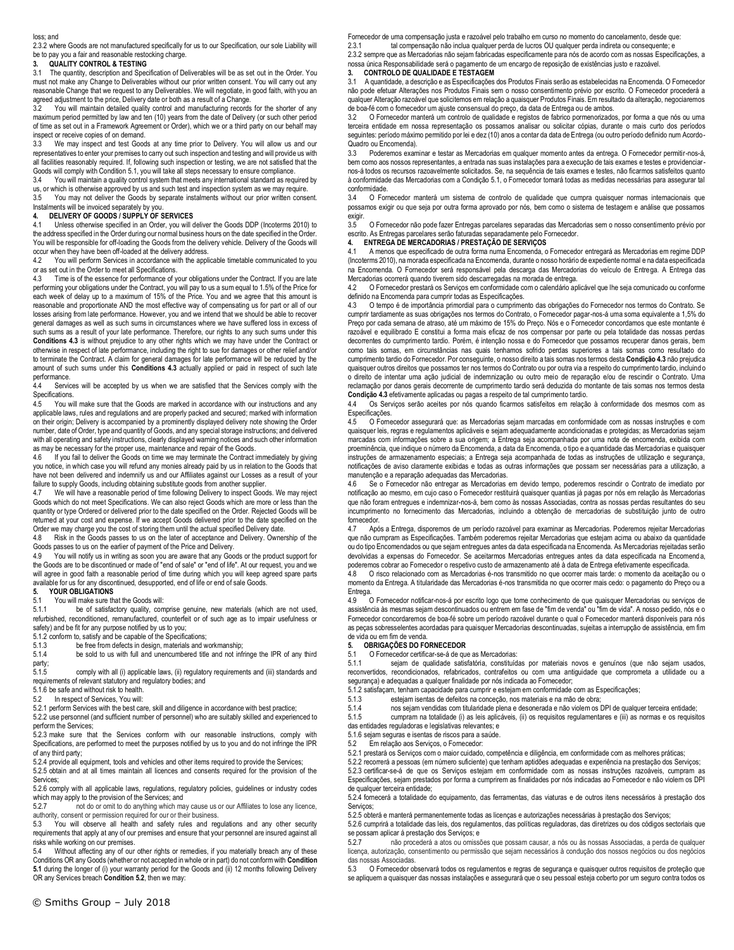#### loss; and

2.3.2 where Goods are not manufactured specifically for us to our Specification, our sole Liability will be to pay you a fair and reasonable restocking charge.

#### **3. QUALITY CONTROL & TESTING**

3.1 The quantity, description and Specification of Deliverables will be as set out in the Order. You must not make any Change to Deliverables without our prior written consent. You will carry out any reasonable Change that we request to any Deliverables. We will negotiate, in good faith, with you an agreed adjustment to the price, Delivery date or both as a result of a Change.

3.2 You will maintain detailed quality control and manufacturing records for the shorter of any maximum period permitted by law and ten (10) years from the date of Delivery (or such other period permitted by law and ten (10) years from the date of Delivery (or such other period of time as set out in a Framework Agreement or Order), which we or a third party on our behalf may inspect or receive copies of on demand.

3.3 We may inspect and test Goods at any time prior to Delivery. You will allow us and our representatives to enter your premises to carry out such inspection and testing and will provide us with all facilities reasonably required. If, following such inspection or testing, we are not satisfied that the Goods will comply with Condition 5.1, you will take all steps necessary to ensure compliance.

3.4 You will maintain a quality control system that meets any international standard as required by us, or which is otherwise approved by us and such test and inspection system as we may require.

3.5 You may not deliver the Goods by separate instalments without our prior written consent. Instalments will be invoiced separately by you.

# **4. DELIVERY OF GOODS / SUPPLY OF SERVICES**

4.1 Unless otherwise specified in an Order, you will deliver the Goods DDP (Incoterms 2010) to the address specified in the Order during our normal business hours on the date specified in the Order. You will be responsible for off-loading the Goods from the delivery vehicle. Delivery of the Goods will occur when they have been off-loaded at the delivery address.

4.2 You will perform Services in accordance with the applicable timetable communicated to you or as set out in the Order to meet all Specifications.<br>4.3 Time is of the essence for performance of y

Time is of the essence for performance of your obligations under the Contract. If you are late performing your obligations under the Contract, you will pay to us a sum equal to 1.5% of the Price for each week of delay up to a maximum of 15% of the Price. You and we agree that this amount is reasonable and proportionate AND the most effective way of compensating us for part or all of our losses arising from late performance. However, you and we intend that we should be able to recover general damages as well as such sums in circumstances where we have suffered loss in excess of such sums as a result of your late performance. Therefore, our rights to any such sums under this **Conditions 4.3** is without prejudice to any other rights which we may have under the Contract or otherwise in respect of late performance, including the right to sue for damages or other relief and/or to terminate the Contract. A claim for general damages for late performance will be reduced by the amount of such sums under this **Conditions 4.3** actually applied or paid in respect of such late performance.

4.4 Services will be accepted by us when we are satisfied that the Services comply with the Specifications.

4.5 You will make sure that the Goods are marked in accordance with our instructions and any applicable laws, rules and regulations and are properly packed and secured; marked with information on their origin; Delivery is accompanied by a prominently displayed delivery note showing the Order number, date of Order, type and quantity of Goods, and any special storage instructions; and delivered with all operating and safety instructions, clearly displayed warning notices and such other information as may be necessary for the proper use, maintenance and repair of the Goods.

4.6 If you fail to deliver the Goods on time we may terminate the Contract immediately by giving you notice, in which case you will refund any monies already paid by us in relation to the Goods that have not been delivered and indemnify us and our Affiliates against our Losses as a result of your failure to supply Goods, including obtaining substitute goods from another supplier.<br>4.7 We will have a reasonable period of time following Delivery to inspect Good

We will have a reasonable period of time following Delivery to inspect Goods. We may reject Goods which do not meet Specifications. We can also reject Goods which are more or less than the quantity or type Ordered or delivered prior to the date specified on the Order. Rejected Goods will be returned at your cost and expense. If we accept Goods delivered prior to the date specified on the Order we may charge you the cost of storing them until the actual specified Delivery date.

4.8 Risk in the Goods passes to us on the later of acceptance and Delivery. Ownership of the Goods passes to us on the earlier of payment of the Price and Delivery.

4.9 You will notify us in writing as soon you are aware that any Goods or the product support for the Goods are to be discontinued or made of "end of sale" or "end of life". At our request, you and we will agree in good faith a reasonable period of time during which you will keep agreed spare parts available for us for any discontinued, desupported, end of life or end of sale Goods.<br>5. YOUR OBLIGATIONS

# **5. YOUR OBLIGATIONS**

You will make sure that the Goods will: 5.1.1 be of satisfactory quality, comprise genuine, new materials (which are not used, refurbished, reconditioned, remanufactured, counterfeit or of such age as to impair usefulness or

safety) and be fit for any purpose notified by us to you;

5.1.2 conform to, satisfy and be capable of the Specifications;<br>5.1.3 be free from defects in design, materials and w

5.1.3 be free from defects in design, materials and workmanship;<br>5.1.4 be sold to us with full and unencumbered title and not info be sold to us with full and unencumbered title and not infringe the IPR of any third

party;<br>5.1.5 5.1.5 comply with all (i) applicable laws, (ii) regulatory requirements and (iii) standards and requirements of relevant statutory and regulatory bodies; and

5.1.6 be safe and without risk to health.

5.2 In respect of Services, You will:

5.2.1 perform Services with the best care, skill and diligence in accordance with best practice;

5.2.2 use personnel (and sufficient number of personnel) who are suitably skilled and experienced to perform the Services;

5.2.3 make sure that the Services conform with our reasonable instructions, comply with Specifications, are performed to meet the purposes notified by us to you and do not infringe the IPR of any third party;

5.2.4 provide all equipment, tools and vehicles and other items required to provide the Services;

5.2.5 obtain and at all times maintain all licences and consents required for the provision of the Services;

5.2.6 comply with all applicable laws, regulations, regulatory policies, guidelines or industry codes which may apply to the provision of the Services; and<br>5.2.7 mot do or omit to do anything which may

not do or omit to do anything which may cause us or our Affiliates to lose any licence, authority, consent or permission required for our or their business.<br>5.3. You will observe all health and safety rules and rec

5.3 You will observe all health and safety rules and regulations and any other security requirements that apply at any of our premises and ensure that your personnel are insured against all risks while working on our premises.

5.4 Without affecting any of our other rights or remedies, if you materially breach any of these Conditions OR any Goods (whether or not accepted in whole or in part) do not conform with **Condition 5.1** during the longer of (i) your warranty period for the Goods and (ii) 12 months following Delivery OR any Services breach **Condition 5.2**, then we may:

Fornecedor de uma compensação justa e razoável pelo trabalho em curso no momento do cancelamento, desde que:

2.3.1 tal compensação não inclua qualquer perda de lucros OU qualquer perda indireta ou consequente; e 2.3.2 sempre que as Mercadorias não sejam fabricadas especificamente para nós de acordo com as nossas Especificações, a nossa única Responsabilidade será o pagamento de um encargo de reposição de existências justo e razoável.

#### **3. CONTROLO DE QUALIDADE E TESTAGEM**

3.1 A quantidade, a descrição e as Especificações dos Produtos Finais serão as estabelecidas na Encomenda. O Fornecedor não pode efetuar Alterações nos Produtos Finais sem o nosso consentimento prévio por escrito. O Fornecedor procederá a qualquer Alteração razoável que solicitemos em relação a quaisquer Produtos Finais. Em resultado da alteração, negociaremos de boa-fé com o fornecedor um ajuste consensual do preço, da data de Entrega ou de ambos.

3.2 O Fornecedor manterá um controlo de qualidade e registos de fabrico pormenorizados, por forma a que nós ou uma terceira entidade em nossa representação os possamos analisar ou solicitar cópias, durante o mais curto dos períodos seguintes: período máximo permitido por lei e dez (10) anos a contar da data de Entrega (ou outro período definido num Acordo-Quadro ou Encomenda).

3.3 Poderemos examinar e testar as Mercadorias em qualquer momento antes da entrega. O Fornecedor permitir-nos-á, bem como aos nossos representantes, a entrada nas suas instalações para a execução de tais exames e testes e providenciarnos-á todos os recursos razoavelmente solicitados. Se, na sequência de tais exames e testes, não ficarmos satisfeitos quanto à conformidade das Mercadorias com a Condição 5.1, o Fornecedor tomará todas as medidas necessárias para assegurar tal conformidade.

3.4 O Fornecedor manterá um sistema de controlo de qualidade que cumpra quaisquer normas internacionais que possamos exigir ou que seja por outra forma aprovado por nós, bem como o sistema de testagem e análise que possamos exigir.<br>3.5

3.5 O Fornecedor não pode fazer Entregas parcelares separadas das Mercadorias sem o nosso consentimento prévio por escrito. As Entregas parcelares serão faturadas separadamente pelo Fornecedor.

#### **4. ENTREGA DE MERCADORIAS / PRESTAÇÃO DE SERVIÇOS**

4.1 A menos que especificado de outra forma numa Encomenda, o Fornecedor entregará as Mercadorias em regime DDP (Incoterms 2010), na morada especificada na Encomenda, durante o nosso horário de expediente normal e na data especificada na Encomenda. O Fornecedor será responsável pela descarga das Mercadorias do veículo de Entrega. A Entrega das Mercadorias ocorrerá quando tiverem sido descarregadas na morada de entrega.<br>4.2 O Fornecedor prestará os Servicos em conformidade com o calendário ap

4.2 O Fornecedor prestará os Serviços em conformidade com o calendário aplicável que lhe seja comunicado ou conforme definido na Encomenda para cumprir todas as Especificações.

4.3 O tempo é de importância primordial para o cumprimento das obrigações do Fornecedor nos termos do Contrato. Se cumprir tardiamente as suas obrigações nos termos do Contrato, o Fornecedor pagar-nos-á uma soma equivalente a 1,5% do Preço por cada semana de atraso, até um máximo de 15% do Preço. Nós e o Fornecedor concordamos que este montante é razoável e equilibrado E constitui a forma mais eficaz de nos compensar por parte ou pela totalidade das nossas perdas decorrentes do cumprimento tardio. Porém, é intenção nossa e do Fornecedor que possamos recuperar danos gerais, bem como tais somas, em circunstâncias nas quais tenhamos sofrido perdas superiores a tais somas como resultado do cumprimento tardio do Fornecedor. Por conseguinte, o nosso direito a tais somas nos termos desta **Condição 4.3** não prejudica quaisquer outros direitos que possamos ter nos termos do Contrato ou por outra via a respeito do cumprimento tardio, incluindo o direito de intentar uma ação judicial de indemnização ou outro meio de reparação e/ou de rescindir o Contrato. Uma reclamação por danos gerais decorrente de cumprimento tardio será deduzida do montante de tais somas nos termos desta **Condição 4.3** efetivamente aplicadas ou pagas a respeito de tal cumprimento tardio.

4.4 Os Serviços serão aceites por nós quando ficarmos satisfeitos em relação à conformidade dos mesmos com as Especificações.

4.5 O Fornecedor assegurará que: as Mercadorias sejam marcadas em conformidade com as nossas instruções e com quaisquer leis, regras e regulamentos aplicáveis e sejam adequadamente acondicionadas e protegidas; as Mercadorias sejam marcadas com informações sobre a sua origem; a Entrega seja acompanhada por uma nota de encomenda, exibida com proeminência, que indique o número da Encomenda, a data da Encomenda, o tipo e a quantidade das Mercadorias e quaisquer instruções de armazenamento especiais; a Entrega seja acompanhada de todas as instruções de utilização e segurança,<br>notificações de aviso claramente exibidas e todas as outras informações que possam ser necessárias para a manutenção e a reparação adequadas das Mercadorias.

4.6 Se o Fornecedor não entregar as Mercadorias em devido tempo, poderemos rescindir o Contrato de imediato por notificação ao mesmo, em cujo caso o Fornecedor restituirá quaisquer quantias já pagas por nós em relação às Mercadorias que não foram entregues e indemnizar-nos-á, bem como às nossas Associadas, contra as nossas perdas resultantes do seu incumprimento no fornecimento das Mercadorias, incluindo a obtenção de mercadorias de substituição junto de outro fornecedor.<br>4.7 Apó

Após a Entrega, disporemos de um período razoável para examinar as Mercadorias. Poderemos rejeitar Mercadorias que não cumpram as Especificações. Também poderemos rejeitar Mercadorias que estejam acima ou abaixo da quantidade ou do tipo Encomendados ou que sejam entregues antes da data especificada na Encomenda. As Mercadorias rejeitadas serão devolvidas a expensas do Fornecedor. Se aceitarmos Mercadorias entregues antes da data especificada na Encomenda, poderemos cobrar ao Fornecedor o respetivo custo de armazenamento até à data de Entrega efetivamente especificada.

4.8 O risco relacionado com as Mercadorias é-nos transmitido no que ocorrer mais tarde: o momento da aceitação ou o momento da Entrega. A titularidade das Mercadorias é-nos transmitida no que ocorrer mais cedo: o pagamento do Preço ou a Entrega.

4.9 O Fornecedor notificar-nos-á por escrito logo que tome conhecimento de que quaisquer Mercadorias ou serviços de assistência às mesmas sejam descontinuados ou entrem em fase de "fim de venda" ou "fim de vida". A nosso pedido, nós e o Fornecedor concordaremos de boa-fé sobre um período razoável durante o qual o Fornecedor manterá disponíveis para nós as peças sobresselentes acordadas para quaisquer Mercadorias descontinuadas, sujeitas a interrupção de assistência, em fim de vida ou em fim de venda.

# **5. OBRIGAÇÕES DO FORNECEDOR**

5.1 O Fornecedor certificar-se-á de que as Mercadorias:<br>5.1.1 sejam de qualidade satisfatória, constituíd. sejam de qualidade satisfatória, constituídas por materiais novos e genuínos (que não sejam usados, reconvertidos, recondicionados, refabricados, contrafeitos ou com uma antiguidade que comprometa a utilidade ou a segurança) e adequadas a qualquer finalidade por nós indicada ao Fornecedor;

5.1.2 satisfaçam, tenham capacidade para cumprir e estejam em conformidade com as Especificações;

estejam isentas de defeitos na conceção, nos materiais e na mão de obra;

5.1.4 nos sejam vendidas com titularidade plena e desonerada e não violem os DPI de qualquer terceira entidade;

5.1.5 cumpram na totalidade (i) as leis aplicáveis, (ii) os requisitos regulamentares e (iii) as normas e os requisitos das entidades reguladoras e legislativas relevantes; e

5.1.6 sejam seguras e isentas de riscos para a saúde.<br>5.2 Em relação aos Serviços o Fornecedor:

5.2 Em relação aos Serviços, o Fornecedor:

5.2.1 prestará os Serviços com o maior cuidado, competência e diligência, em conformidade com as melhores práticas;

5.2.2 recorrerá a pessoas (em número suficiente) que tenham aptidões adequadas e experiência na prestação dos Serviços; 5.2.3 certificar-se-á de que os Serviços estejam em conformidade com as nossas instruções razoáveis, cumpram as Especificações, sejam prestados por forma a cumprirem as finalidades por nós indicadas ao Fornecedor e não violem os DPI de qualquer terceira entidade;

5.2.4 fornecerá a totalidade do equipamento, das ferramentas, das viaturas e de outros itens necessários à prestação dos Servicos:

5.2.5 obterá e manterá permanentemente todas as licenças e autorizações necessárias à prestação dos Serviços;

5.2.6 cumprirá a totalidade das leis, dos regulamentos, das políticas reguladoras, das diretrizes ou dos códigos sectoriais que

se possam aplicar á prestação dos Serviços; e<br>5.2.7 mão procederá a atos ou omissô 5.2.7 não procederá a atos ou omissões que possam causar, a nós ou às nossas Associadas, a perda de qualquer licença, autorização, consentimento ou permissão que sejam necessários à condução dos nossos negócios ou dos negócios das nossas Associadas.

5.3 O Fornecedor observará todos os regulamentos e regras de segurança e quaisquer outros requisitos de proteção que se apliquem a quaisquer das nossas instalações e assegurará que o seu pessoal esteja coberto por um seguro contra todos os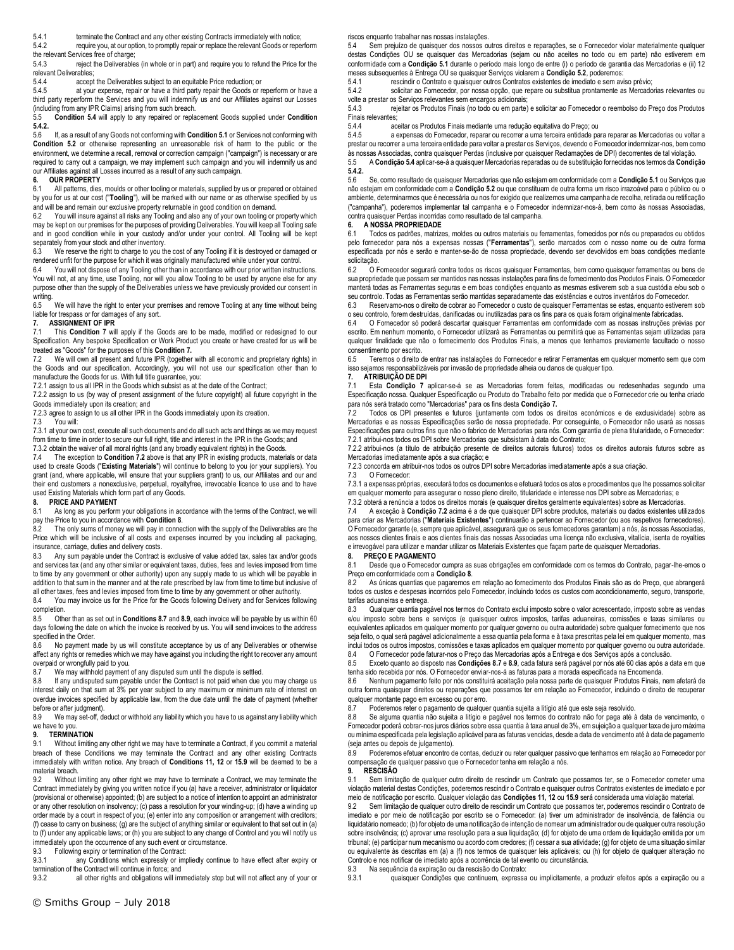5.4.1 terminate the Contract and any other existing Contracts immediately with notice;

5.4.2 require you, at our option, to promptly repair or replace the relevant Goods or reperform the relevant Services free of charge;<br>5.4.3 reject the Deliverable

reject the Deliverables (in whole or in part) and require you to refund the Price for the relevant Deliverables;<br>5.4.4 accept

5.4.4 accept the Deliverables subject to an equitable Price reduction; or<br>5.4.5 at your expense repair or bave a third party repair the Goods or r

at your expense, repair or have a third party repair the Goods or reperform or have a third party reperform the Services and you will indemnify us and our Affiliates against our Losses (including from any IPR Claims) arising from such breach.<br>5.5 **Condition 5.4** will apply to any repaired or repla

5.5 **Condition 5.4** will apply to any repaired or replacement Goods supplied under **Condition 5.4.2.**

5.6 If, as a result of any Goods not conforming with **Condition 5.1** or Services not conforming with **Condition 5.2** or otherwise representing an unreasonable risk of harm to the public or the environment, we determine a recall, removal or correction campaign ("campaign") is necessary or are required to carry out a campaign, we may implement such campaign and you will indemnify us and our Affiliates against all Losses incurred as a result of any such campaign.

# **6. OUR PROPERTY**

All patterns, dies, moulds or other tooling or materials, supplied by us or prepared or obtained by you for us at our cost ("**Tooling**"), will be marked with our name or as otherwise specified by us and will be and remain our exclusive property returnable in good condition on demand.<br>62 You will insure against all risks any Tooling and also any of your own tooling or

You will insure against all risks any Tooling and also any of your own tooling or property which may be kept on our premises for the purposes of providing Deliverables. You will keep all Tooling safe and in good condition while in your custody and/or under your control. All Tooling will be kept separately from your stock and other inventory.

6.3 We reserve the right to charge to you the cost of any Tooling if it is destroyed or damaged or rendered unfit for the purpose for which it was originally manufactured while under your control. 6.4 You will not dispose of any Tooling other than in accordance with our prior written instructions.

You will not, at any time, use Tooling, nor will you allow Tooling to be used by anyone else for any purpose other than the supply of the Deliverables unless we have previously provided our consent in writing.<br>6.5

We will have the right to enter your premises and remove Tooling at any time without being liable for trespass or for damages of any sort.<br>7. **ASSIGNMENT OF IPR** 

#### **7. ASSIGNMENT OF IPR**

7.1 This **Condition 7** will apply if the Goods are to be made, modified or redesigned to our Specification. Any bespoke Specification or Work Product you create or have created for us will be treated as "Goods" for the purposes of this **Condition 7.**

7.2 We will own all present and future IPR (together with all economic and proprietary rights) in the Goods and our specification. Accordingly, you will not use our specification other than to manufacture the Goods for us. With full title guarantee, you:

7.2.1 assign to us all IPR in the Goods which subsist as at the date of the Contract;

7.2.2 assign to us (by way of present assignment of the future copyright) all future copyright in the Goods immediately upon its creation; and

7.2.3 agree to assign to us all other IPR in the Goods immediately upon its creation.<br>7.3 You will:

You will:

7.3.1 at your own cost, execute all such documents and do all such acts and things as we may request from time to time in order to secure our full right, title and interest in the IPR in the Goods; and 7.3.2 obtain the waiver of all moral rights (and any broadly equivalent rights) in the Goods.

7.4 The exception to **Condition 7.2** above is that any IPR in existing products, materials or data used to create Goods ("**Existing Materials**") will continue to belong to you (or your suppliers). You grant (and, where applicable, will ensure that your suppliers grant) to us, our Affiliates and our and their end customers a nonexclusive, perpetual, royaltyfree, irrevocable licence to use and to have

## used Existing Materials which form part of any Goods.

**8. PRICE AND PAYMENT**<br>8.1 As long as you perform As long as you perform your obligations in accordance with the terms of the Contract, we will pay the Price to you in accordance with **Condition 8**.

The only sums of money we will pay in connection with the supply of the Deliverables are the Price which will be inclusive of all costs and expenses incurred by you including all packaging, insurance, carriage, duties and delivery costs.

8.3 Any sum payable under the Contract is exclusive of value added tax, sales tax and/or goods and services tax (and any other similar or equivalent taxes, duties, fees and levies imposed from time to time by any government or other authority) upon any supply made to us which will be payable in addition to that sum in the manner and at the rate prescribed by law from time to time but inclusive of all other taxes, fees and levies imposed from time to time by any government or other authority.

8.4 You may invoice us for the Price for the Goods following Delivery and for Services following completion.

8.5 Other than as set out in **Conditions 8.7** and **8.9**, each invoice will be payable by us within 60 days following the date on which the invoice is received by us. You will send invoices to the address specified in the Order.

No payment made by us will constitute acceptance by us of any Deliverables or otherwise affect any rights or remedies which we may have against you including the right to recover any amount overpaid or wrongfully paid to you.

8.7 We may withhold payment of any disputed sum until the dispute is settled.<br>8.8 If any undisputed sum payable under the Contract is not paid when due v

If any undisputed sum payable under the Contract is not paid when due you may charge us interest daily on that sum at 3% per year subject to any maximum or minimum rate of interest on overdue invoices specified by applicable law, from the due date until the date of payment (whether before or after judgment).

8.9 We may set-off, deduct or withhold any liability which you have to us against any liability which we have to you.

# **9. TERMINATION**<br>9.1 Without limitin

Without limiting any other right we may have to terminate a Contract, if you commit a material breach of these Conditions we may terminate the Contract and any other existing Contracts immediately with written notice. Any breach of **Conditions 11, 12** or **15.9** will be deemed to be a material breach.

9.2 Without limiting any other right we may have to terminate a Contract, we may terminate the Contract immediately by giving you written notice if you (a) have a receiver, administrator or liquidator (provisional or otherwise) appointed; (b) are subject to a notice of intention to appoint an administrator or any other resolution on insolvency; (c) pass a resolution for your winding-up; (d) have a winding up order made by a court in respect of you; (e) enter into any composition or arrangement with creditors; (f) cease to carry on business; (g) are the subject of anything similar or equivalent to that set out in (a) to (f) under any applicable laws; or (h) you are subject to any change of Control and you will notify us immediately upon the occurrence of any such event or circumstance.

9.3 Following expiry or termination of the Contract:

9.3.1 any Conditions which expressly or impliedly continue to have effect after expiry or termination of the Contract will continue in force; and<br>9.3.2 all other rights and obligations will im

all other rights and obligations will immediately stop but will not affect any of your or

riscos enquanto trabalhar nas nossas instalações.

5.4 Sem prejuízo de quaisquer dos nossos outros direitos e reparações, se o Fornecedor violar materialmente qualquer destas Condições OU se quaisquer das Mercadorias (sejam ou não aceites no todo ou em parte) não estiverem em conformidade com a **Condição 5.1** durante o período mais longo de entre (i) o período de garantia das Mercadorias e (ii) 12 meses subsequentes à Entrega OU se quaisquer Serviços violarem a **Condição 5.2**, poderemos:

5.4.1 rescindir o Contrato e quaisquer outros Contratos existentes de imediato e sem aviso prévio;<br>5.4.2 solicitar ao Fornecedor, por nossa opcão, que repare ou substitua prontamente as Mercado

solicitar ao Fornecedor, por nossa opção, que repare ou substitua prontamente as Mercadorias relevantes ou

volte a prestar os Serviços relevantes sem encargos adicionais; 5.4.3 rejeitar os Produtos Finais (no todo ou em parte) e solicitar ao Fornecedor o reembolso do Preço dos Produtos

Finais relevantes;<br>5.4.4 ac 5.4.4 aceitar os Produtos Finais mediante uma redução equitativa do Preço; ou

5.4.5 a expensas do Fornecedor, reparar ou recorrer a uma terceira entidade para reparar as Mercadorias ou voltar a prestar ou recorrer a uma terceira entidade para voltar a prestar os Serviços, devendo o Fornecedor indemnizar-nos, bem como

às nossas Associadas, contra quaisquer Perdas (inclusive por quaisquer Reclamações de DPI) decorrentes de tal violação.<br>5.5 A **Condição 5.4** aplicar-se-á a quaisquer Mercadorias reparadas ou de substituição fornecidas no **5.4.2.**

5.6 Se, como resultado de quaisquer Mercadorias que não estejam em conformidade com a **Condição 5.1** ou Serviços que não estejam em conformidade com a **Condição 5.2** ou que constituam de outra forma um risco irrazoável para o público ou o ambiente, determinarmos que é necessária ou nos for exigido que realizemos uma campanha de recolha, retirada ou retificação ("campanha"), poderemos implementar tal campanha e o Fornecedor indemnizar-nos-á, bem como às nossas Associadas, contra quaisquer Perdas incorridas como resultado de tal campanha.

#### **6. A NOSSA PROPRIEDADE**

6.1 Todos os padrões, matrizes, moldes ou outros materiais ou ferramentas, fornecidos por nós ou preparados ou obtidos pelo fornecedor para nós a expensas nossas ("**Ferramentas**"), serão marcados com o nosso nome ou de outra forma especificada por nós e serão e manter-se-ão de nossa propriedade, devendo ser devolvidos em boas condições mediante solicitação.<br>6200 F

6.2 O Fornecedor segurará contra todos os riscos quaisquer Ferramentas, bem como quaisquer ferramentas ou bens de sua propriedade que possam ser mantidos nas nossas instalações para fins de fornecimento dos Produtos Finais. O Fornecedor manterá todas as Ferramentas seguras e em boas condições enquanto as mesmas estiverem sob a sua custódia e/ou sob o seu controlo. Todas as Ferramentas serão mantidas separadamente das existências e outros inventários do Fornecedor.

6.3 Reservamo-nos o direito de cobrar ao Fornecedor o custo de quaisquer Ferramentas se estas, enquanto estiverem sob o seu controlo, forem destruídas, danificadas ou inutilizadas para os fins para os quais foram originalmente fabricadas.

6.4 O Fornecedor só poderá descartar quaisquer Ferramentas em conformidade com as nossas instruções prévias por escrito. Em nenhum momento, o Fornecedor utilizará as Ferramentas ou permitirá que as Ferramentas sejam utilizadas para qualquer finalidade que não o fornecimento dos Produtos Finais, a menos que tenhamos previamente facultado o nosso consentimento por escrito.

6.5 Teremos o direito de entrar nas instalações do Fornecedor e retirar Ferramentas em qualquer momento sem que com isso sejamos responsabilizáveis por invasão de propriedade alheia ou danos de qualquer tipo. **7. ATRIBUIÇÃO DE DPI**

Esta **Condição 7** aplicar-se-á se as Mercadorias forem feitas, modificadas ou redesenhadas segundo uma Especificação nossa. Qualquer Especificação ou Produto do Trabalho feito por medida que o Fornecedor crie ou tenha criado para nós será tratado como "Mercadorias" para os fins desta **Condição 7.**

7.2 Todos os DPI presentes e futuros (juntamente com todos os direitos económicos e de exclusividade) sobre as Mercadorias e as nossas Especificações serão de nossa propriedade. Por conseguinte, o Fornecedor não usará as nossas Especificações para outros fins que não o fabrico de Mercadorias para nós. Com garantia de plena titularidade, o Fornecedor: 7.2.1 atribui-nos todos os DPI sobre Mercadorias que subsistam à data do Contrato;

7.2.2 atribui-nos (a título de atribuição presente de direitos autorais futuros) todos os direitos autorais futuros sobre as Mercadorias imediatamente após a sua criação; e

7.2.3 concorda em atribuir-nos todos os outros DPI sobre Mercadorias imediatamente após a sua criação.

7.3 O Fornecedor:

7.3.1 a expensas próprias, executará todos os documentos e efetuará todos os atos e procedimentos que lhe possamos solicitar em qualquer momento para assegurar o nosso pleno direito, titularidade e interesse nos DPI sobre as Mercadorias; e

7.3.2 obterá a renúncia a todos os direitos morais (e quaisquer direitos geralmente equivalentes) sobre as Mercadorias.<br>7.4 A exceção à Condicão 7.2 acima é a de que quaisquer DPI sobre produtos, materiais ou dados existen

7.4 A exceção à **Condição 7.2** acima é a de que quaisquer DPI sobre produtos, materiais ou dados existentes utilizados para criar as Mercadorias ("**Materiais Existentes**") continuarão a pertencer ao Fornecedor (ou aos respetivos fornecedores). O Fornecedor garante (e, sempre que aplicável, assegurará que os seus fornecedores garantam) a nós, às nossas Associadas, aos nossos clientes finais e aos clientes finais das nossas Associadas uma licença não exclusiva, vitalícia, isenta de royalties e irrevogável para utilizar e mandar utilizar os Materiais Existentes que façam parte de quaisquer Mercadorias.

#### **8. PREÇO E PAGAMENTO**

8.1 Desde que o Fornecedor cumpra as suas obrigações em conformidade com os termos do Contrato, pagar-lhe-emos o Preço em conformidade com a **Condição 8**.

8.2 As únicas quantias que pagaremos em relação ao fornecimento dos Produtos Finais são as do Preço, que abrangerá todos os custos e despesas incorridos pelo Fornecedor, incluindo todos os custos com acondicionamento, seguro, transporte, tarifas aduaneiras e entrega.

8.3 Qualquer quantia pagável nos termos do Contrato exclui imposto sobre o valor acrescentado, imposto sobre as vendas e/ou imposto sobre bens e serviços (e quaisquer outros impostos, tarifas aduaneiras, comissões e taxas similares ou equivalentes aplicados em qualquer momento por qualquer governo ou outra autoridade) sobre qualquer fornecimento que nos seja feito, o qual será pagável adicionalmente a essa quantia pela forma e à taxa prescritas pela lei em qualquer momento, mas inclui todos os outros impostos, comissões e taxas aplicados em qualquer momento por qualquer governo ou outra autoridade.<br>84 O Enmecedor pode faturar-nos o Preco das Mercadorias anós a Entrega e dos Servicos anós a conclu

8.4 O Fornecedor pode faturar-nos o Preço das Mercadorias após a Entrega e dos Serviços após a conclusão.<br>8.5 Exceto quanto ao disposto nas **Condições 8.7** e 8.9, cada fatura será pagável por nós até 60 dias após a q 8.5 Exceto quanto ao disposto nas **Condições 8.7** e **8.9**, cada fatura será pagável por nós até 60 dias após a data em que

tenha sido recebida por nós. O Fornecedor enviar-nos-á as faturas para a morada especificada na Encomenda.

8.6 Nenhum pagamento feito por nós constituirá aceitação pela nossa parte de quaisquer Produtos Finais, nem afetará de outra forma quaisquer direitos ou reparações que possamos ter em relação ao Fornecedor, incluindo o direito de recuperar qualquer montante pago em excesso ou por erro.

8.7 Poderemos reter o pagamento de qualquer quantia sujeita a litígio até que este seja resolvido.

8.8 Se alguma quantia não sujeita a litígio e pagável nos termos do contrato não for paga até à data de vencimento, o Fornecedor poderá cobrar-nos juros diários sobre essa quantia à taxa anual de 3%, em sujeição a qualquer taxa de juro máxima ou mínima especificada pela legislação aplicável para as faturas vencidas, desde a data de vencimento até à data de pagamento (seja antes ou depois de julgamento).

8.9 Poderemos efetuar encontro de contas, deduzir ou reter qualquer passivo que tenhamos em relação ao Fornecedor por compensação de qualquer passivo que o Fornecedor tenha em relação a nós. **9. RESCISÃO**

9.1 Sem limitação de qualquer outro direito de rescindir um Contrato que possamos ter, se o Fornecedor cometer uma violação material destas Condições, poderemos rescindir o Contrato e quaisquer outros Contratos existentes de imediato e por meio de notificação por escrito. Qualquer violação das **Condições 11, 12** ou **15.9** será considerada uma violação material.

Sem limitação de qualquer outro direito de rescindir um Contrato que possamos ter, poderemos rescindir o Contrato de imediato e por meio de notificação por escrito se o Fornecedor: (a) tiver um administrador de insolvência, de falência ou liquidatário nomeado; (b) for objeto de uma notificação de intenção de nomear um administrador ou de qualquer outra resolução sobre insolvência; (c) aprovar uma resolução para a sua liquidação; (d) for objeto de uma ordem de liquidação emitida por um tribunal; (e) participar num mecanismo ou acordo com credores; (f) cessar a sua atividade; (g) for objeto de uma situação similar ou equivalente às descritas em (a) a (f) nos termos de quaisquer leis aplicáveis; ou (h) for objeto de qualquer alteração no Controlo e nos notificar de imediato após a ocorrência de tal evento ou circunstância.

9.3 Na sequência da expiração ou da rescisão do Contrato:

9.3.1 quaisquer Condições que continuem, expressa ou implicitamente, a produzir efeitos após a expiração ou a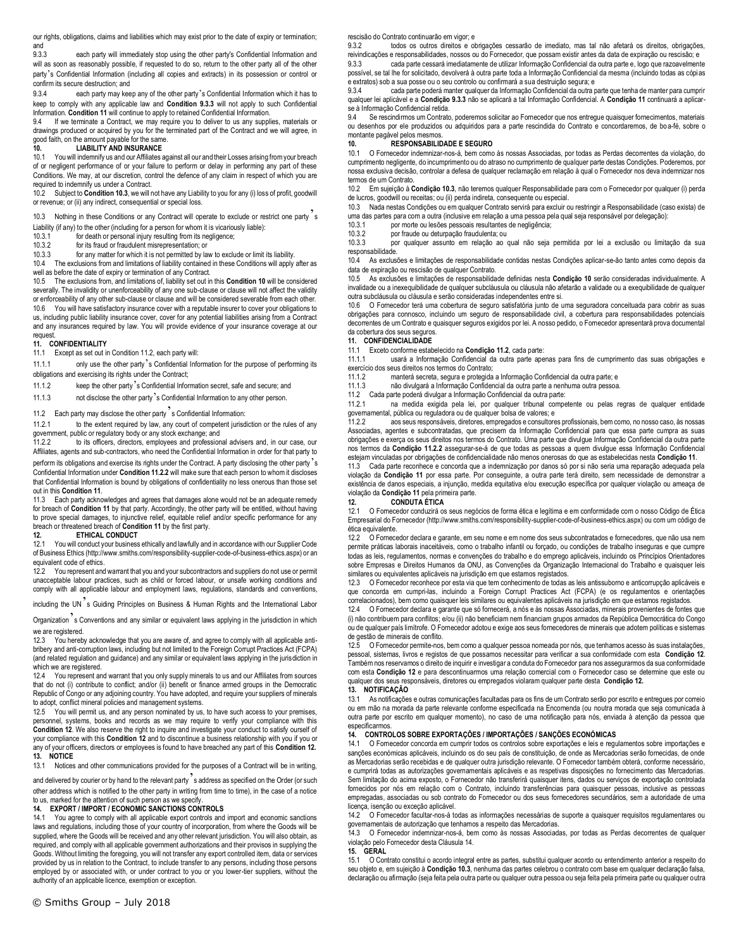our rights, obligations, claims and liabilities which may exist prior to the date of expiry or termination; and<br>9.3.3

each party will immediately stop using the other party's Confidential Information and will as soon as reasonably possible, if requested to do so, return to the other party all of the other party's Confidential Information (including all copies and extracts) in its possession or control or confirm its secure destruction; and

9.3.4 each party may keep any of the other party's Confidential Information which it has to keep to comply with any applicable law and **Condition 9.3.3** will not apply to such Confidential Information. **Condition 11** will continue to apply to retained Confidential Information.

9.4 If we terminate a Contract, we may require you to deliver to us any supplies, materials or drawings produced or acquired by you for the terminated part of the Contract and we will agree, in good faith, on the amount payable for the same.

# **10. LIABILITY AND INSURANCE**

You will indemnify us and our Affiliates against all our and their Losses arising from your breach of or negligent performance of or your failure to perform or delay in performing any part of these Conditions. We may, at our discretion, control the defence of any claim in respect of which you are required to indemnify us under a Contract.<br>10.2 Subject to **Condition 10.3**, we will a

10.2 Subject to **Condition 10.3**, we will not have any Liability to you for any (i) loss of profit, goodwill or revenue; or (ii) any indirect, consequential or special loss.

10.3 Nothing in these Conditions or any Contract will operate to exclude or restrict one party s

Liability (if any) to the other (including for a person for whom it is vicariously liable):<br>10.3.1 for death or personal injury resulting from its negligence: for death or personal injury resulting from its negligence;

10.3.2 for its fraud or fraudulent misrepresentation; or

10.3.3 for any matter for which it is not permitted by law to exclude or limit its liability.

10.4 The exclusions from and limitations of liability contained in these Conditions will apply after as well as before the date of expiry or termination of any Contract.

10.5 The exclusions from, and limitations of, liability set out in this **Condition 10** will be considered severally. The invalidity or unenforceability of any one sub-clause or clause will not affect the validity or enforceability of any other sub-clause or clause and will be considered severable from each other. 10.6 You will have satisfactory insurance cover with a reputable insurer to cover your obligations to us, including public liability insurance cover, cover for any potential liabilities arising from a Contract and any insurances required by law. You will provide evidence of your insurance coverage at our request.

#### **11. CONFIDENTIALITY**

11.1 Except as set out in Condition 11.2, each party will:

11.1.1 only use the other party's Confidential Information for the purpose of performing its obligations and exercising its rights under the Contract;

11.1.2 keep the other party's Confidential Information secret, safe and secure; and

11.1.3 not disclose the other party's Confidential Information to any other person.

# 11.2 Each party may disclose the other party  $\frac{1}{2}$  s Confidential Information:<br>11.2.1 to the extent required by law, any court of competent iurisd

to the extent required by law, any court of competent jurisdiction or the rules of any

government, public or regulatory body or any stock exchange; and 11.2.2 to its officers, directors, employees and profession to its officers, directors, employees and professional advisers and, in our case, our Affiliates, agents and sub-contractors, who need the Confidential Information in order for that party to perform its obligations and exercise its rights under the Contract. A party disclosing the other party 's Confidential Information under **Condition 11.2.2** will make sure that each person to whom it discloses that Confidential Information is bound by obligations of confidentiality no less onerous than those set out in this **Condition 11**.

11.3 Each party acknowledges and agrees that damages alone would not be an adequate remedy for breach of **Condition 11** by that party. Accordingly, the other party will be entitled, without having to prove special damages, to injunctive relief, equitable relief and/or specific performance for any breach or threatened breach of **Condition 11** by the first party.

#### **12. ETHICAL CONDUCT**

12.1 You will conduct your business ethically and lawfully and in accordance with our Supplier Code of Business Ethics (http://www.smiths.com/responsibility-supplier-code-of-business-ethics.aspx) or an equivalent code of ethics.

12.2 You represent and warrant that you and your subcontractors and suppliers do not use or permit unacceptable labour practices, such as child or forced labour, or unsafe working conditions and comply with all applicable labour and employment laws, regulations, standards and conventions,

including the UN's Guiding Principles on Business & Human Rights and the International Labor

Organization s Conventions and any similar or equivalent laws applying in the jurisdiction in which we are registered.

12.3 You hereby acknowledge that you are aware of, and agree to comply with all applicable antibribery and anti-corruption laws, including but not limited to the Foreign Corrupt Practices Act (FCPA) (and related regulation and guidance) and any similar or equivalent laws applying in the jurisdiction in which we are registered.

12.4 You represent and warrant that you only supply minerals to us and our Affiliates from sources that do not (i) contribute to conflict; and/or (ii) benefit or finance armed groups in the Democratic Republic of Congo or any adjoining country. You have adopted, and require your suppliers of minerals to adopt, conflict mineral policies and management systems.

12.5 You will permit us, and any person nominated by us, to have such access to your premises, personnel, systems, books and records as we may require to verify your compliance with this **Condition 12.** We also reserve the right to inquire and investigate your conduct to satisfy ourself of your compliance with this **Condition 12** and to discontinue a business relationship with you if you or any of your officers, directors or employees is found to have breached any part of this **Condition 12. 13. NOTICE**

13.1 Notices and other communications provided for the purposes of a Contract will be in writing,

and delivered by courier or by hand to the relevant party's address as specified on the Order (or such other address which is notified to the other party in writing from time to time), in the case of a notice to us, marked for the attention of such person as we specify.

#### **14. EXPORT / IMPORT / ECONOMIC SANCTIONS CONTROLS**

14.1 You agree to comply with all applicable export controls and import and economic sanctions laws and regulations, including those of your country of incorporation, from where the Goods will be supplied, where the Goods will be received and any other relevant jurisdiction. You will also obtain, as required, and comply with all applicable government authorizations and their provisos in supplying the Goods. Without limiting the foregoing, you will not transfer any export controlled item, data or services provided by us in relation to the Contract, to include transfer to any persons, including those persons employed by or associated with, or under contract to you or you lower-tier suppliers, without the authority of an applicable licence, exemption or exception.

9.3.2 todos os outros direitos e obrigações cessarão de imediato, mas tal não afetará os direitos, obrigações, reivindicações e responsabilidades, nossos ou do Fornecedor, que possam existir antes da data de expiração ou rescisão; e

9.3.3 cada parte cessará imediatamente de utilizar Informação Confidencial da outra parte e, logo que razoavelmente possível, se tal lhe for solicitado, devolverá à outra parte toda a Informação Confidencial da mesma (incluindo todas as cópias e extratos) sob a sua posse ou o seu controlo ou confirmará a sua destruição segura; e

9.3.4 cada parte poderá manter qualquer da Informação Confidencial da outra parte que tenha de manter para cumprir qualquer lei aplicável e a **Condição 9.3.3** não se aplicará a tal Informação Confidencial. A **Condição 11** continuará a aplicarse à Informação Confidencial retida.<br>94 Se rescindirmos um Contrato

9.4 Se rescindirmos um Contrato, poderemos solicitar ao Fornecedor que nos entregue quaisquer fornecimentos, materiais ou desenhos por ele produzidos ou adquiridos para a parte rescindida do Contrato e concordaremos, de bo a-fé, sobre o montante pagável pelos mesmos.

#### **10. RESPONSABILIDADE E SEGURO**

10.1 O Fornecedor indemnizar-nos-á, bem como às nossas Associadas, por todas as Perdas decorrentes da violação, do<br>cumprimento negligente, do incumprimento ou do atraso no cumprimento de qualquer parte destas Condições. P nossa exclusiva decisão, controlar a defesa de qualquer reclamação em relação à qual o Fornecedor nos deva indemnizar nos termos de um Contrato.

10.2 Em sujeição à **Condição 10.3**, não teremos qualquer Responsabilidade para com o Fornecedor por qualquer (i) perda de lucros, goodwill ou receitas; ou (ii) perda indireta, consequente ou especial.

10.3 Nada nestas Condições ou em qualquer Contrato servirá para excluir ou restringir a Responsabilidade (caso exista) de uma das partes para com a outra (inclusive em relação a uma pessoa pela qual seja responsável por delegação):

por morte ou lesões pessoais resultantes de negligência;

10.3.2 por fraude ou deturpação fraudulenta; ou por qualquer assunto em relação ao qual não seja permitida por lei a exclusão ou limitação da sua responsabilidade.

10.4 As exclusões e limitações de responsabilidade contidas nestas Condições aplicar-se-ão tanto antes como depois da data de expiração ou rescisão de qualquer Contrato.<br>10.5 As exclusões e limitações de responsabilida

10.5 As exclusões e limitações de responsabilidade definidas nesta **Condição 10** serão consideradas individualmente. A invalidade ou a inexequibilidade de qualquer subcláusula ou cláusula não afetarão a validade ou a exequibilidade de qualquer outra subcláusula ou cláusula e serão consideradas independentes entre si.

10.6 O Fornecedor terá uma cobertura de seguro satisfatória junto de uma seguradora conceituada para cobrir as suas obrigações para connosco, incluindo um seguro de responsabilidade civil, a cobertura para responsabilidades potenciais decorrentes de um Contrato e quaisquer seguros exigidos por lei. A nosso pedido, o Fornecedor apresentará prova documental da cobertura dos seus seguros.

#### **11. CONFIDENCIALIDADE**

11.1 Exceto conforme estabelecido na **Condição 11.2**, cada parte:

11.1.1 usará a Informação Confidencial da outra parte apenas para fins de cumprimento das suas obrigações e exercício dos seus direitos nos termos do Contrato;

manterá secreta, segura e protegida a Informação Confidencial da outra parte; e

11.1.3 não divulgará a Informação Confidencial da outra parte a nenhuma outra pessoa.

11.2 Cada parte poderá divulgar a Informação Confidencial da outra parte:

11.2.1 na medida exigida pela lei, por qualquer tribunal competente ou pelas regras de qualquer entidade governamental, pública ou reguladora ou de qualquer bolsa de valores; e<br>11 2 2 aos seus responsáveis, diretores, empregados e consultore

11.2.2 aos seus responsáveis, diretores, empregados e consultores profissionais, bem como, no nosso caso, às nossas Associadas, agentes e subcontratadas, que precisem da Informação Confidencial para que essa parte cumpra as suas obrigações e exerça os seus direitos nos termos do Contrato. Uma parte que divulgue Informação Confidencial da outra parte nos termos da **Condição 11.2.2** assegurar-se-á de que todas as pessoas a quem divulgue essa Informação Confidencial estejam vinculadas por obrigações de confidencialidade não menos onerosas do que as estabelecidas nesta **Condição 11**.<br>11.3 — Cada parte reconhece e concorda que a indemnização por danos só por si não seria uma reparação a

violação da **Condição 11** por essa parte. Por conseguinte, a outra parte terá direito, sem necessidade de demonstrar a existência de danos especiais, a injunção, medida equitativa e/ou execução específica por qualquer violação ou ameaça de violação da **Condição 11** pela primeira parte.

# **12. CONDUTA ÉTICA**

12.1 O Fornecedor conduzirá os seus negócios de forma ética e legítima e em conformidade com o nosso Código de Ética Empresarial do Fornecedor (http://www.smiths.com/responsibility-supplier-code-of-business-ethics.aspx) ou com um código de ética equivalente.

12.2 O Fornecedor declara e garante, em seu nome e em nome dos seus subcontratados e fornecedores, que não usa nem permite práticas laborais inaceitáveis, como o trabalho infantil ou forçado, ou condições de trabalho inseguras e que cumpre todas as leis, regulamentos, normas e convenções do trabalho e do emprego aplicáveis, incluindo os Princípios Orientadores sobre Empresas e Direitos Humanos da ONU, as Convenções da Organização Internacional do Trabalho e quaisquer leis similares ou equivalentes aplicáveis na jurisdição em que estamos registados.

12.3 O Fornecedor reconhece por esta via que tem conhecimento de todas as leis antissuborno e anticorrupção aplicáveis e que concorda em cumpri-las, incluindo a Foreign Corrupt Practices Act (FCPA) (e os regulamentos e orientações correlacionados), bem como quaisquer leis similares ou equivalentes aplicáveis na jurisdição em que estamos registados.

12.4 O Fornecedor declara e garante que só fornecerá, a nós e às nossas Associadas, minerais provenientes de fontes que (i) não contribuem para conflitos; e/ou (ii) não beneficiam nem financiam grupos armados da República Democrática do Congo ou de qualquer país limítrofe. O Fornecedor adotou e exige aos seus fornecedores de minerais que adotem políticas e sistemas de gestão de minerais de conflito.<br>12.5 O Fornecedor permite-nos

O Fornecedor permite-nos, bem como a qualquer pessoa nomeada por nós, que tenhamos acesso às suas instalaçõ pessoal, sistemas, livros e registos de que possamos necessitar para verificar a sua conformidade com esta **Condição 12**. Também nos reservamos o direito de inquirir e investigar a conduta do Fornecedor para nos assegurarmos da sua conformidade com esta **Condição 12** e para descontinuarmos uma relação comercial com o Fornecedor caso se determine que este ou qualquer dos seus responsáveis, diretores ou empregados violaram qualquer parte desta **Condição 12.** 

#### **13. NOTIFICAÇÃO**

13.1 As notificações e outras comunicações facultadas para os fins de um Contrato serão por escrito e entregues por correio ou em mão na morada da parte relevante conforme especificada na Encomenda (ou noutra morada que seja comunicada à outra parte por escrito em qualquer momento), no caso de uma notificação para nós, enviada à atenção da pessoa que especificarmos.

# **14. CONTROLOS SOBRE EXPORTAÇÕES / IMPORTAÇÕES / SANÇÕES ECONÓMICAS**

14.1 O Fornecedor concorda em cumprir todos os controlos sobre exportações e leis e regulamentos sobre importações e sanções económicas aplicáveis, incluindo os do seu país de constituição, de onde as Mercadorias serão fornecidas, de onde as Mercadorias serão recebidas e de qualquer outra jurisdição relevante. O Fornecedor também obterá, conforme necessário, e cumprirá todas as autorizações governamentais aplicáveis e as respetivas disposições no fornecimento das Mercadorias. Sem limitação do acima exposto, o Fornecedor não transferirá quaisquer itens, dados ou serviços de exportação controlada fornecidos por nós em relação com o Contrato, incluindo transferências para quaisquer pessoas, inclusive as pessoas empregadas, associadas ou sob contrato do Fornecedor ou dos seus fornecedores secundários, sem a autoridade de uma licença, isenção ou exceção aplicável.

14.2 O Fornecedor facultar-nos-á todas as informações necessárias de suporte a quaisquer requisitos regulamentares ou governamentais de autorização que tenhamos a respeito das Mercadorias.

0 Fornecedor indemnizar-nos-á, bem como às nossas Associadas, por todas as Perdas decorrentes de qualquer violação pelo Fornecedor desta Cláusula 14.

15.1 O Contrato constitui o acordo integral entre as partes, substitui qualquer acordo ou entendimento anterior a respeito do seu objeto e, em sujeição à **Condição 10.3**, nenhuma das partes celebrou o contrato com base em qualquer declaração falsa, declaração ou afirmação (seja feita pela outra parte ou qualquer outra pessoa ou seja feita pela primeira parte ou qualquer outra